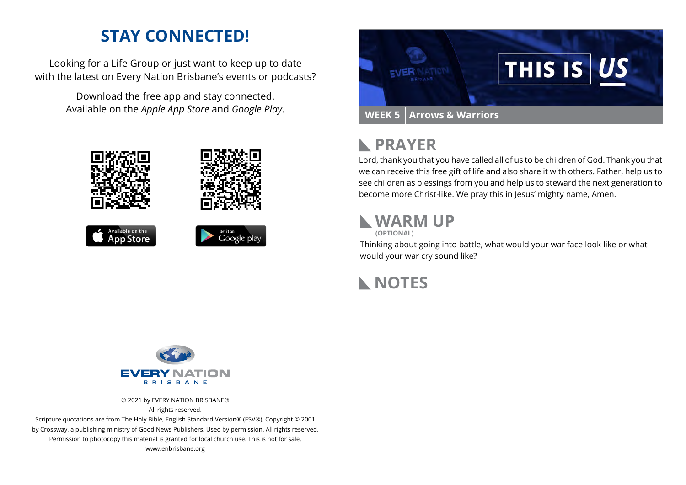# **STAY CONNECTED!**

Looking for a Life Group or just want to keep up to date with the latest on Every Nation Brisbane's events or podcasts?

> Download the free app and stay connected. Available on the *Apple App Store* and *Google Play*.





#### **PRAYER**  $\mathbb{R}$

Lord, thank you that you have called all of us to be children of God. Thank you that we can receive this free gift of life and also share it with others. Father, help us to see children as blessings from you and help us to steward the next generation to become more Christ-like. We pray this in Jesus' mighty name, Amen.

### **WARM UP**

**(OPTIONAL)**

Thinking about going into battle, what would your war face look like or what would your war cry sound like?

# **NOTES**



© 2021 by EVERY NATION BRISBANE® All rights reserved.

Scripture quotations are from The Holy Bible, English Standard Version® (ESV®), Copyright © 2001 by Crossway, a publishing ministry of Good News Publishers. Used by permission. All rights reserved. Permission to photocopy this material is granted for local church use. This is not for sale. www.enbrisbane.org